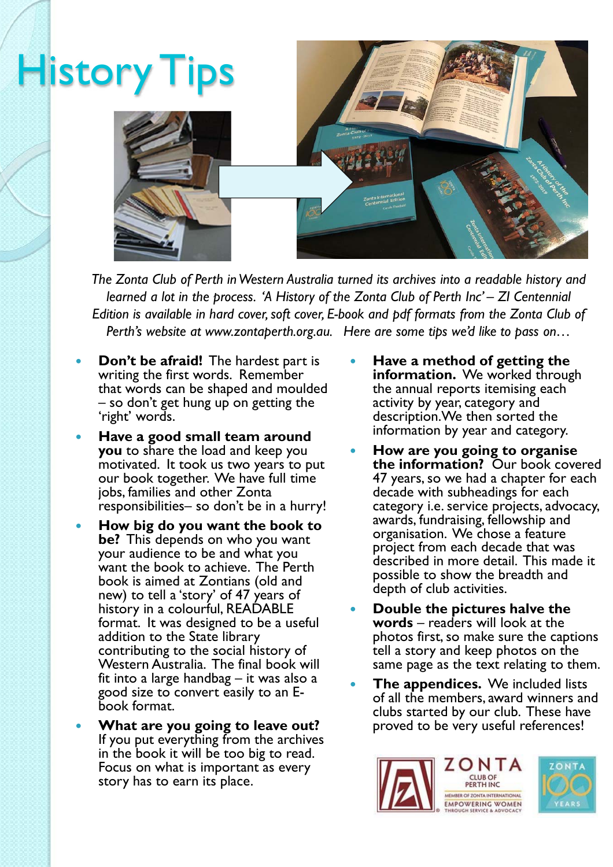

*The Zonta Club of Perth in Western Australia turned its archives into a readable history and learned a lot in the process. 'A History of the Zonta Club of Perth Inc' - ZI Centennial Edition is available in hard cover, soft cover, E-book and pdf formats from the Zonta Club of Perth's website at www.zontaperth.org.au. Here are some tips we'd like to pass on…*

- **Don't be afraid!** The hardest part is writing the first words. Remember that words can be shaped and moulded – so don't get hung up on getting the 'right' words.
- **Have a good small team around you** to share the load and keep you motivated. It took us two years to put our book together. We have full time jobs, families and other Zonta responsibilities– so don't be in a hurry!
- **How big do you want the book to be?** This depends on who you want your audience to be and what you want the book to achieve. The Perth book is aimed at Zontians (old and new) to tell a 'story' of 47 years of history in a colourful, READABLE format. It was designed to be a useful addition to the State library contributing to the social history of Western Australia. The final book will fit into a large handbag – it was also a good size to convert easily to an Ebook format.
- **What are you going to leave out?** If you put everything from the archives in the book it will be too big to read. Focus on what is important as every story has to earn its place.
- **Have a method of getting the information.** We worked through the annual reports itemising each activity by year, category and description.We then sorted the information by year and category.
- **How are you going to organise the information?** Our book covered 47 years, so we had a chapter for each decade with subheadings for each category i.e. service projects, advocacy, awards, fundraising, fellowship and organisation. We chose a feature project from each decade that was described in more detail. This made it possible to show the breadth and depth of club activities.
- **Double the pictures halve the words** – readers will look at the photos first, so make sure the captions tell a story and keep photos on the same page as the text relating to them.
- **The appendices.** We included lists of all the members, award winners and clubs started by our club. These have proved to be very useful references!

![](_page_0_Picture_10.jpeg)